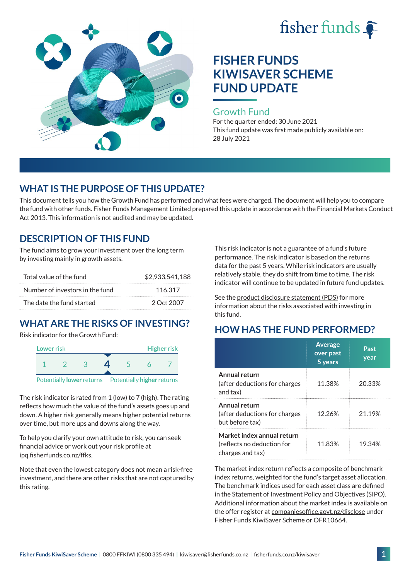



#### Growth Fund

For the quarter ended: 30 June 2021 This fund update was first made publicly available on: 28 July 2021

## **WHAT IS THE PURPOSE OF THIS UPDATE?**

This document tells you how the Growth Fund has performed and what fees were charged. The document will help you to compare the fund with other funds. Fisher Funds Management Limited prepared this update in accordance with the Financial Markets Conduct Act 2013. This information is not audited and may be updated.

## **DESCRIPTION OF THIS FUND**

The fund aims to grow your investment over the long term by investing mainly in growth assets.

| Total value of the fund         | \$2,933,541,188 |
|---------------------------------|-----------------|
| Number of investors in the fund | 116.317         |
| The date the fund started       | 2 Oct 2007      |

# **WHAT ARE THE RISKS OF INVESTING?**

Risk indicator for the Growth Fund:



The risk indicator is rated from 1 (low) to 7 (high). The rating reflects how much the value of the fund's assets goes up and down. A higher risk generally means higher potential returns over time, but more ups and downs along the way.

To help you clarify your own attitude to risk, you can seek financial advice or work out your risk profile at [ipq.fisherfunds.co.nz/ffks](https://ipq.fisherfunds.co.nz/ffks).

Note that even the lowest category does not mean a risk-free investment, and there are other risks that are not captured by this rating.

This risk indicator is not a guarantee of a fund's future performance. The risk indicator is based on the returns data for the past 5 years. While risk indicators are usually relatively stable, they do shift from time to time. The risk indicator will continue to be updated in future fund updates.

See the [product disclosure statement \(PDS\)](https://fisherfunds.co.nz/assets/PDS/Fisher-Funds-KiwiSaver-Scheme-PDS.pdf) for more information about the risks associated with investing in this fund.

## **HOW HAS THE FUND PERFORMED?**

|                                                                              | <b>Average</b><br>over past<br>5 years | Past<br>year |
|------------------------------------------------------------------------------|----------------------------------------|--------------|
| Annual return<br>(after deductions for charges<br>and tax)                   | 11.38%                                 | 20.33%       |
| Annual return<br>(after deductions for charges<br>but before tax)            | 12.26%                                 | 21.19%       |
| Market index annual return<br>(reflects no deduction for<br>charges and tax) | 11.83%                                 | 19.34%       |

The market index return reflects a composite of benchmark index returns, weighted for the fund's target asset allocation. The benchmark indices used for each asset class are defined in the Statement of Investment Policy and Objectives (SIPO). Additional information about the market index is available on the offer register at [companiesoffice.govt.nz/disclose](http://companiesoffice.govt.nz/disclose) under Fisher Funds KiwiSaver Scheme or OFR10664.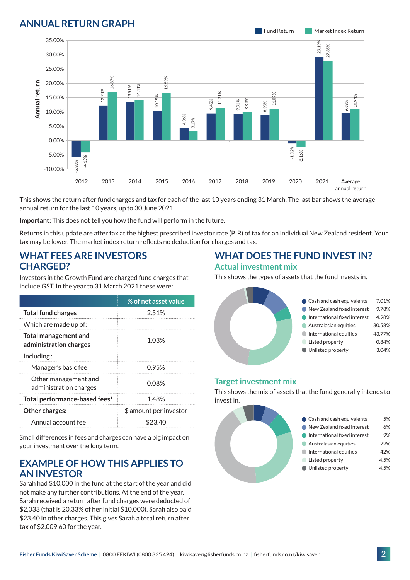## **ANNUAL RETURN GRAPH**



This shows the return after fund charges and tax for each of the last 10 years ending 31 March. The last bar shows the average annual return for the last 10 years, up to 30 June 2021.

**Important:** This does not tell you how the fund will perform in the future.

Returns in this update are after tax at the highest prescribed investor rate (PIR) of tax for an individual New Zealand resident. Your tax may be lower. The market index return reflects no deduction for charges and tax.

#### **WHAT FEES ARE INVESTORS CHARGED?**

Investors in the Growth Fund are charged fund charges that include GST. In the year to 31 March 2021 these were:

|                                                       | % of net asset value   |  |
|-------------------------------------------------------|------------------------|--|
| <b>Total fund charges</b>                             | 2.51%                  |  |
| Which are made up of:                                 |                        |  |
| <b>Total management and</b><br>administration charges | 1.03%                  |  |
| Including:                                            |                        |  |
| Manager's basic fee                                   | 0.95%                  |  |
| Other management and<br>administration charges        | 0.08%                  |  |
| Total performance-based fees <sup>1</sup>             | 1.48%                  |  |
| Other charges:                                        | \$ amount per investor |  |
| Annual account fee                                    | S23.40                 |  |

Small differences in fees and charges can have a big impact on your investment over the long term.

### **EXAMPLE OF HOW THIS APPLIES TO AN INVESTOR**

Sarah had \$10,000 in the fund at the start of the year and did not make any further contributions. At the end of the year, Sarah received a return after fund charges were deducted of \$2,033 (that is 20.33% of her initial \$10,000). Sarah also paid \$23.40 in other charges. This gives Sarah a total return after tax of \$2,009.60 for the year.

#### **WHAT DOES THE FUND INVEST IN? Actual investment mix**

This shows the types of assets that the fund invests in.



#### **Target investment mix**

This shows the mix of assets that the fund generally intends to invest in.